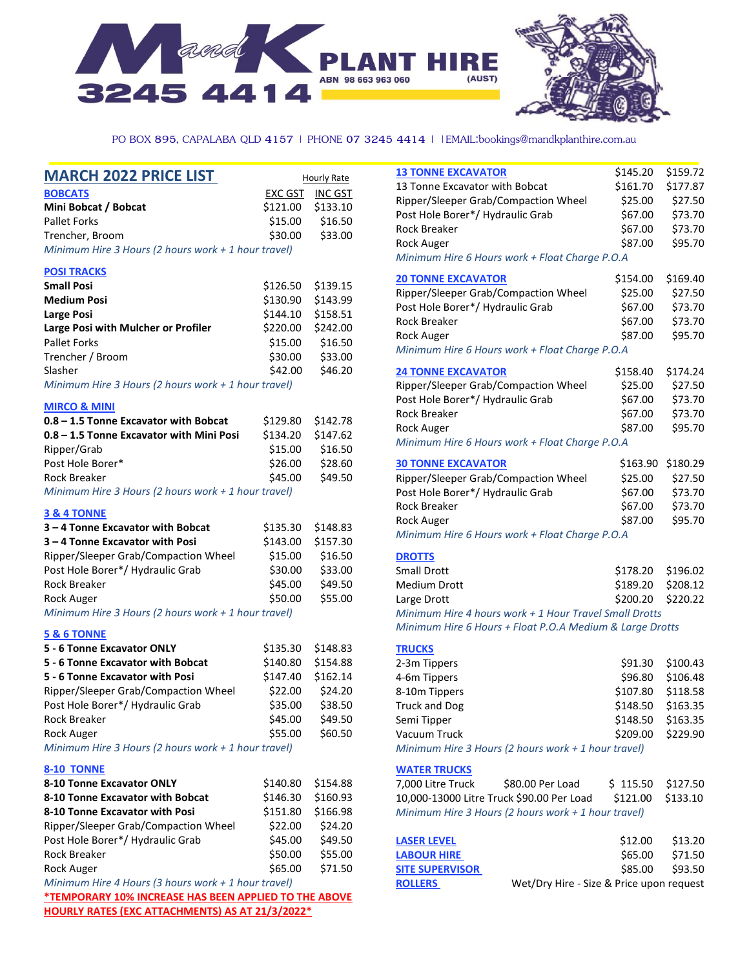

PO BOX 895, CAPALABA QLD 4157 | PHONE 07 3245 4414 | | EMAIL:bookings@mandkplanthire.com.au

**Hourly Rate** 

| <b>MARCH 2022 PRICE LIST</b> |
|------------------------------|
|------------------------------|

#### **BOBCATS EXC GST INC GST Mini Bobcat / Bobcat** \$121.00 \$133.10 Pallet Forks \$15.00 \$16.50 Trencher, Broom \$30.00 \$33.00 *Minimum Hire 3 Hours (2 hours work + 1 hour travel)*

#### **POSI TRACKS**

| <b>Small Posi</b>                   |                   | \$126.50 \$139.15 |
|-------------------------------------|-------------------|-------------------|
| <b>Medium Posi</b>                  |                   | \$130.90 \$143.99 |
| Large Posi                          | \$144.10 \$158.51 |                   |
| Large Posi with Mulcher or Profiler | \$220.00          | \$242.00          |
| <b>Pallet Forks</b>                 | \$15.00           | \$16.50           |
| Trencher / Broom                    | \$30.00           | \$33.00           |
| Slasher                             | \$42.00           | \$46.20           |
|                                     |                   |                   |

*Minimum Hire 3 Hours (2 hours work + 1 hour travel)* 

#### **MIRCO & MINI**

| 0.8 - 1.5 Tonne Excavator with Bobcat                 | \$129.80 \$142.78 |         |
|-------------------------------------------------------|-------------------|---------|
| 0.8 – 1.5 Tonne Excavator with Mini Posi              | \$134.20 \$147.62 |         |
| Ripper/Grab                                           | \$15.00           | \$16.50 |
| Post Hole Borer*                                      | \$26.00           | \$28.60 |
| Rock Breaker                                          | \$45.00           | \$49.50 |
| Minimum Hire 3 Hours (2 hours work $+$ 1 hour travel) |                   |         |

#### **3 & 4 TONNE**

| 3-4 Tonne Excavator with Bobcat                     | \$135.30 \$148.83 |          |
|-----------------------------------------------------|-------------------|----------|
| 3 – 4 Tonne Excavator with Posi                     | \$143.00          | \$157.30 |
| Ripper/Sleeper Grab/Compaction Wheel                | \$15.00           | \$16.50  |
| Post Hole Borer*/ Hydraulic Grab                    | \$30.00           | \$33.00  |
| Rock Breaker                                        | \$45.00           | \$49.50  |
| <b>Rock Auger</b>                                   | \$50.00           | \$55.00  |
| Minimum Uine 2 Hours (2 hours unable to thoughways) |                   |          |

*Minimum Hire 3 Hours (2 hours work + 1 hour travel)*

#### **5 & 6 TONNE**

| 5 - 6 Tonne Excavator ONLY                          | \$135.30 \$148.83 |          |
|-----------------------------------------------------|-------------------|----------|
| 5 - 6 Tonne Excavator with Bobcat                   | \$140.80          | \$154.88 |
| 5 - 6 Tonne Excavator with Posi                     | \$147.40          | \$162.14 |
| Ripper/Sleeper Grab/Compaction Wheel                | \$22.00           | \$24.20  |
| Post Hole Borer*/ Hydraulic Grab                    | \$35.00           | \$38.50  |
| Rock Breaker                                        | \$45.00           | \$49.50  |
| <b>Rock Auger</b>                                   | \$55.00           | \$60.50  |
| Minimum Hiro 2 Hours (2 hours work + 1 hour traval) |                   |          |

*Minimum Hire 3 Hours (2 hours work + 1 hour travel)*

#### **8-10 TONNE**

| 8-10 Tonne Excavator ONLY                            | \$140.80 | \$154.88 |
|------------------------------------------------------|----------|----------|
| 8-10 Tonne Excavator with Bobcat                     | \$146.30 | \$160.93 |
| 8-10 Tonne Excavator with Posi                       | \$151.80 | \$166.98 |
| Ripper/Sleeper Grab/Compaction Wheel                 | \$22.00  | \$24.20  |
| Post Hole Borer*/ Hydraulic Grab                     | \$45.00  | \$49.50  |
| Rock Breaker                                         | \$50.00  | \$55.00  |
| <b>Rock Auger</b>                                    | \$65.00  | \$71.50  |
| Minimum Hire 4 Hours (3 hours work $+1$ hour travel) |          |          |

**\*TEMPORARY 10% INCREASE HAS BEEN APPLIED TO THE ABOVE HOURLY RATES (EXC ATTACHMENTS) AS AT 21/3/2022\***

| <b>13 TONNE EXCAVATOR</b>                                |                  | \$145.20 | \$159.72 |
|----------------------------------------------------------|------------------|----------|----------|
| 13 Tonne Excavator with Bobcat                           |                  | \$161.70 | \$177.87 |
| Ripper/Sleeper Grab/Compaction Wheel                     |                  | \$25.00  | \$27.50  |
| Post Hole Borer*/ Hydraulic Grab                         |                  | \$67.00  | \$73.70  |
| Rock Breaker                                             |                  | \$67.00  | \$73.70  |
| <b>Rock Auger</b>                                        |                  | \$87.00  | \$95.70  |
| Minimum Hire 6 Hours work + Float Charge P.O.A           |                  |          |          |
| <b>20 TONNE EXCAVATOR</b>                                |                  | \$154.00 | \$169.40 |
| Ripper/Sleeper Grab/Compaction Wheel                     |                  | \$25.00  | \$27.50  |
| Post Hole Borer*/ Hydraulic Grab                         |                  | \$67.00  | \$73.70  |
| <b>Rock Breaker</b>                                      |                  | \$67.00  | \$73.70  |
| <b>Rock Auger</b>                                        |                  | \$87.00  | \$95.70  |
| Minimum Hire 6 Hours work + Float Charge P.O.A           |                  |          |          |
| <b>24 TONNE EXCAVATOR</b>                                |                  | \$158.40 | \$174.24 |
| Ripper/Sleeper Grab/Compaction Wheel                     |                  | \$25.00  | \$27.50  |
| Post Hole Borer*/ Hydraulic Grab                         |                  | \$67.00  | \$73.70  |
| Rock Breaker                                             |                  | \$67.00  | \$73.70  |
| <b>Rock Auger</b>                                        |                  | \$87.00  | \$95.70  |
| Minimum Hire 6 Hours work + Float Charge P.O.A           |                  |          |          |
| <b>30 TONNE EXCAVATOR</b>                                |                  | \$163.90 | \$180.29 |
| Ripper/Sleeper Grab/Compaction Wheel                     |                  | \$25.00  | \$27.50  |
| Post Hole Borer*/ Hydraulic Grab                         |                  | \$67.00  | \$73.70  |
| <b>Rock Breaker</b>                                      |                  | \$67.00  | \$73.70  |
| <b>Rock Auger</b>                                        |                  | \$87.00  | \$95.70  |
| Minimum Hire 6 Hours work + Float Charge P.O.A           |                  |          |          |
| <b>DROTTS</b>                                            |                  |          |          |
| <b>Small Drott</b>                                       |                  | \$178.20 | \$196.02 |
| <b>Medium Drott</b>                                      |                  | \$189.20 | \$208.12 |
| Large Drott                                              |                  | \$200.20 | \$220.22 |
| Minimum Hire 4 hours work + 1 Hour Travel Small Drotts   |                  |          |          |
| Minimum Hire 6 Hours + Float P.O.A Medium & Large Drotts |                  |          |          |
| <b>TRUCKS</b>                                            |                  |          |          |
| 2-3m Tippers                                             |                  | \$91.30  | \$100.43 |
| 4-6m Tippers                                             |                  | \$96.80  | \$106.48 |
| 8-10m Tippers                                            |                  | \$107.80 | \$118.58 |
| Truck and Dog                                            |                  | \$148.50 | \$163.35 |
| Semi Tipper                                              |                  | \$148.50 | \$163.35 |
| Vacuum Truck                                             |                  | \$209.00 | \$229.90 |
| Minimum Hire 3 Hours (2 hours work + 1 hour travel)      |                  |          |          |
| <b>WATER TRUCKS</b>                                      |                  |          |          |
| 7,000 Litre Truck                                        | \$80.00 Per Load | \$115.50 | \$127.50 |
| 10,000-13000 Litre Truck \$90.00 Per Load                |                  | \$121.00 | \$133.10 |
| Minimum Hire 3 Hours (2 hours work + 1 hour travel)      |                  |          |          |
|                                                          |                  |          |          |

| <b>LASER LEVEL</b>     | \$12.00                                  | \$13.20 |
|------------------------|------------------------------------------|---------|
| <b>LABOUR HIRE</b>     | \$65.00                                  | \$71.50 |
| <b>SITE SUPERVISOR</b> | \$85.00 \$93.50                          |         |
| <b>ROLLERS</b>         | Wet/Dry Hire - Size & Price upon request |         |